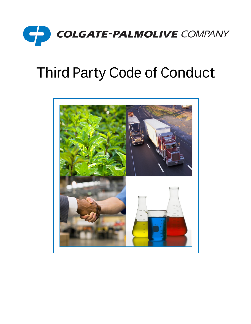

# Third Party Code of Conduct

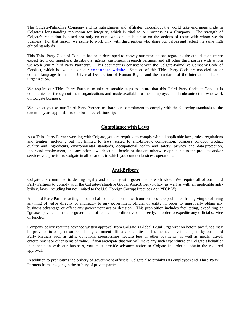The Colgate-Palmolive Company and its subsidiaries and affiliates throughout the world take enormous pride in Colgate's longstanding reputation for integrity, which is vital to our success as a Company. The strength of Colgate's reputation is based not only on our own conduct but also on the actions of those with whom we do business. For that reason, we aspire to work only with third parties who share our values and reflect the same high ethical standards.

This Third Party Code of Conduct has been developed to convey our expectations regarding the ethical conduct we expect from our suppliers, distributors, agents, customers, research partners, and all other third parties with whom we work (our "Third Party Partners"). This document is consistent with the Colgate-Palmolive Company Code of Conduct, which is available on our [corporate website.](https://www.colgatepalmolive.com/en-us) Sections of this Third Party Code are modeled on, or contain language from, the Universal Declaration of Human Rights and the standards of the International Labour Organization.

We require our Third Party Partners to take reasonable steps to ensure that this Third Party Code of Conduct is communicated throughout their organizations and made available to their employees and subcontractors who work on Colgate business.

We expect you, as our Third Party Partner, to share our commitment to comply with the following standards to the extent they are applicable to our business relationship:

# **Compliance with Laws**

As a Third Party Partner working with Colgate, you are required to comply with all applicable laws, rules, regulations and treaties, including but not limited to laws related to anti-bribery, competition, business conduct, product quality and ingredients, environmental standards, occupational health and safety, privacy and data protection, labor and employment, and any other laws described herein or that are otherwise applicable to the products and/or services you provide to Colgate in all locations in which you conduct business operations.

# **Anti-Bribery**

Colgate's is committed to dealing legally and ethically with governments worldwide. We require all of our Third Party Partners to comply with the Colgate-Palmolive Global Anti-Bribery Policy, as well as with all applicable antibribery laws, including but not limited to the U.S. Foreign Corrupt Practices Act ("FCPA").

All Third Party Partners acting on our behalf or in connection with our business are prohibited from giving or offering anything of value directly or indirectly to any government official or entity in order to improperly obtain any business advantage or affect any government act or decision. This prohibition includes facilitating, expediting or "grease" payments made to government officials, either directly or indirectly, in order to expedite any official service or function.

Company policy requires advance written approval from Colgate's Global Legal Organization before any funds may be provided to or spent on behalf of government officials or entities. This includes any funds spent by our Third Party Partners such as gifts, donations, sponsorships, lecture fees or other payments, as well as meals, travel, entertainment or other items of value. If you anticipate that you will make any such expenditure on Colgate's behalf or in connection with our business, you must provide advance notice to Colgate in order to obtain the required approval.

In addition to prohibiting the bribery of government officials, Colgate also prohibits its employees and Third Party Partners from engaging in the bribery of private parties.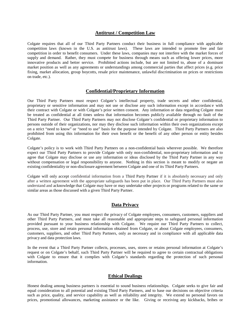# **Antitrust / Competition Law**

Colgate requires that all of our Third Party Partners conduct their business in full compliance with applicable competition laws (known in the U.S. as antitrust laws). These laws are intended to promote free and fair competition in order to benefit consumers. Under these laws, companies may not interfere with the market forces of supply and demand. Rather, they must compete for business through means such as offering lower prices, more innovative products and better service. Prohibited actions include, but are not limited to, abuse of a dominant market position as well as any agreements or understandings among commercial parties that affect prices (e.g. price fixing, market allocation, group boycotts, resale price maintenance, unlawful discrimination on prices or restrictions on trade, etc.).

# **Confidential/Proprietary Information**

Our Third Party Partners must respect Colgate's intellectual property, trade secrets and other confidential, proprietary or sensitive information and may not use or disclose any such information except in accordance with their contract with Colgate or with Colgate's prior written consent. Any information or data regarding Colgate must be treated as confidential at all times unless that information becomes publicly available through no fault of the Third Party Partner. Our Third Party Partners may not disclose Colgate's confidential or proprietary information to persons outside of their organizations, nor may they disclose such information within their own organizations except on a strict "need to know" or "need to use" basis for the purpose intended by Colgate. Third Party Partners are also prohibited from using this information for their own benefit or the benefit of any other person or entity besides Colgate.

Colgate's policy is to work with Third Party Partners on a non-confidential basis wherever possible. We therefore expect our Third Party Partners to provide Colgate with only non-confidential, non-proprietary information and to agree that Colgate may disclose or use any information or ideas disclosed by the Third Party Partner in any way without compensation or legal responsibility to anyone. Nothing in this section is meant to modify or negate an existing confidentiality or non-disclosure agreement between Colgate and one of its Third Party Partners.

Colgate will only accept confidential information from a Third Party Partner if it is absolutely necessary and only after a written agreement with the appropriate safeguards has been put in place. Our Third Party Partners must also understand and acknowledge that Colgate may have or may undertake other projects or programs related to the same or similar areas as those discussed with a given Third Party Partner.

#### **Data Privacy**

As our Third Party Partner, you must respect the privacy of Colgate employees, consumers, customers, suppliers and other Third Party Partners, and must take all reasonable and appropriate steps to safeguard personal information provided pursuant to your business relationship with Colgate. We require our Third Party Partners to collect, process, use, store and retain personal information obtained from Colgate, or about Colgate employees, consumers, customers, suppliers, and other Third Party Partners, only as necessary and in compliance with all applicable data privacy and data protection laws.

In the event that a Third Party Partner collects, processes, uses, stores or retains personal information at Colgate's request or on Colgate's behalf, such Third Party Partner will be required to agree to certain contractual obligations with Colgate to ensure that it complies with Colgate's standards regarding the protection of such personal information.

#### **Ethical Dealings**

Honest dealing among business partners is essential to sound business relationships. Colgate seeks to give fair and equal consideration to all potential and existing Third Party Partners, and to base our decisions on objective criteria such as price, quality, and service capability as well as reliability and integrity. We extend no personal favors on prices, promotional allowances, marketing assistance or the like. Giving or receiving any kickbacks, bribes or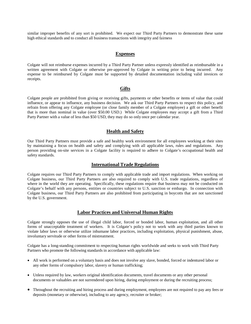similar improper benefits of any sort is prohibited. We expect our Third Party Partners to demonstrate these same high ethical standards and to conduct all business transactions with integrity and fairness

#### **Expenses**

Colgate will not reimburse expenses incurred by a Third Party Partner unless expressly identified as reimbursable in a written agreement with Colgate or otherwise pre-approved by Colgate in writing prior to being incurred. Any expense to be reimbursed by Colgate must be supported by detailed documentation including valid invoices or receipts.

#### **Gifts**

Colgate people are prohibited from giving or receiving gifts, payments or other benefits or items of value that could influence, or appear to influence, any business decision. We ask our Third Party Partners to respect this policy, and refrain from offering any Colgate employee (or close family member of a Colgate employee) a gift or other benefit that is more than nominal in value (over \$50.00 USD.) While Colgate employees may accept a gift from a Third Party Partner with a value of less than \$50 USD, they may do so only once per calendar year.

#### **Health and Safety**

Our Third Party Partners must provide a safe and healthy work environment for all employees working at their sites by maintaining a focus on health and safety and complying with all applicable laws, rules and regulations. Any person providing on-site services in a Colgate facility is required to adhere to Colgate's occupational health and safety standards.

#### **International Trade Regulations**

Colgate requires our Third Party Partners to comply with applicable trade and import regulations. When working on Colgate business, our Third Party Partners are also required to comply with U.S. trade regulations, regardless of where in the world they are operating. Specifically, these regulations require that business may not be conducted on Colgate's behalf with any persons, entities or countries subject to U.S. sanction or embargo. In connection with Colgate business, our Third Party Partners are also prohibited from participating in boycotts that are not sanctioned by the U.S. government.

#### **Labor Practices and Universal Human Rights**

Colgate strongly opposes the use of illegal child labor, forced or bonded labor, human exploitation, and all other forms of unacceptable treatment of workers. It is Colgate's policy not to work with any third parties known to violate labor laws or otherwise utilize inhumane labor practices, including exploitation, physical punishment, abuse, involuntary servitude or other forms of mistreatment.

Colgate has a long-standing commitment to respecting human rights worldwide and seeks to work with Third Party Partners who promote the following standards in accordance with applicable law:

- All work is performed on a voluntary basis and does not involve any slave, bonded, forced or indentured labor or any other forms of compulsory labor, slavery or human trafficking;
- Unless required by law, workers original identification documents, travel documents or any other personal documents or valuables are not surrendered upon hiring, during employment or during the recruiting process;
- Throughout the recruiting and hiring process and during employment, employees are not required to pay any fees or deposits (monetary or otherwise), including to any agency, recruiter or broker;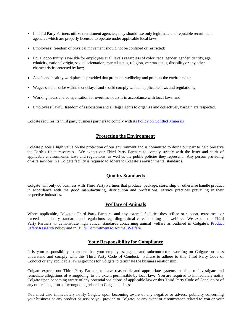- If Third Party Partners utilize recruitment agencies, they should use only legitimate and reputable recruitment agencies which are properly licensed to operate under applicable local laws;
- Employees' freedom of physical movement should not be confined or restricted:
- Equal opportunity is available for employees at all levels regardless of color, race, gender, gender identity, age, ethnicity, national origin, sexual orientation, marital status, religion, veteran status, disability or any other characteristic protected by law;
- A safe and healthy workplace is provided that promotes wellbeing and protects the environment;
- Wages should not be withheld or delayed and should comply with all applicable laws and regulations;
- Working hours and compensation for overtime hours is in accordance with local laws; and
- Employees' lawful freedom of association and all legal rights to organize and collectively bargain are respected.

Colgate requires its third party business partners to comply with its Policy on [Conflict Minerals](https://www.colgatepalmolive.com/en-us/core-values/our-policies/policy-on-conflict-materials)

# **Protecting the Environment**

Colgate places a high value on the protection of our environment and is committed to doing our part to help preserve the Earth's finite resources. We expect our Third Party Partners to comply strictly with the letter and spirit of applicable environmental laws and regulations, as well as the public policies they represent. Any person providing on-site services in a Colgate facility is required to adhere to Colgate's environmental standards.

# **Quality Standards**

Colgate will only do business with Third Party Partners that produce, package, store, ship or otherwise handle product in accordance with the good manufacturing, distribution and professional service practices prevailing in their respective industries.

# **Welfare of Animals**

Where applicable, Colgate's Third Party Partners, and any external facilities they utilize or support, must meet or exceed all industry standards and regulations regarding animal care, handling and welfare. We expect our Third Party Partners to demonstrate high ethical standards concerning animal welfare as outlined in Colgate's [Product](https://www.colgatepalmolive.com/en-us/core-values/our-policies/product-safety-research-policy)  Safety [Research](https://www.colgatepalmolive.com/en-us/core-values/our-policies/product-safety-research-policy) Policy and in Hill's [Commitment](https://www.hillspet.com/about-us/our-company/hills-commitment-to-animal-welfare) to Animal Welfare.

# **Your Responsibility for Compliance**

It is your responsibility to ensure that your employees, agents and subcontractors working on Colgate business understand and comply with this Third Party Code of Conduct. Failure to adhere to this Third Party Code of Conduct or any applicable law is grounds for Colgate to terminate the business relationship.

Colgate expects our Third Party Partners to have reasonable and appropriate systems in place to investigate and remediate allegations of wrongdoing, to the extent permissible by local law. You are required to immediately notify Colgate upon becoming aware of any potential violations of applicable law or this Third Party Code of Conduct, or of any other allegations of wrongdoing related to Colgate business.

You must also immediately notify Colgate upon becoming aware of any negative or adverse publicity concerning your business or any product or service you provide to Colgate, or any event or circumstance related to you or your